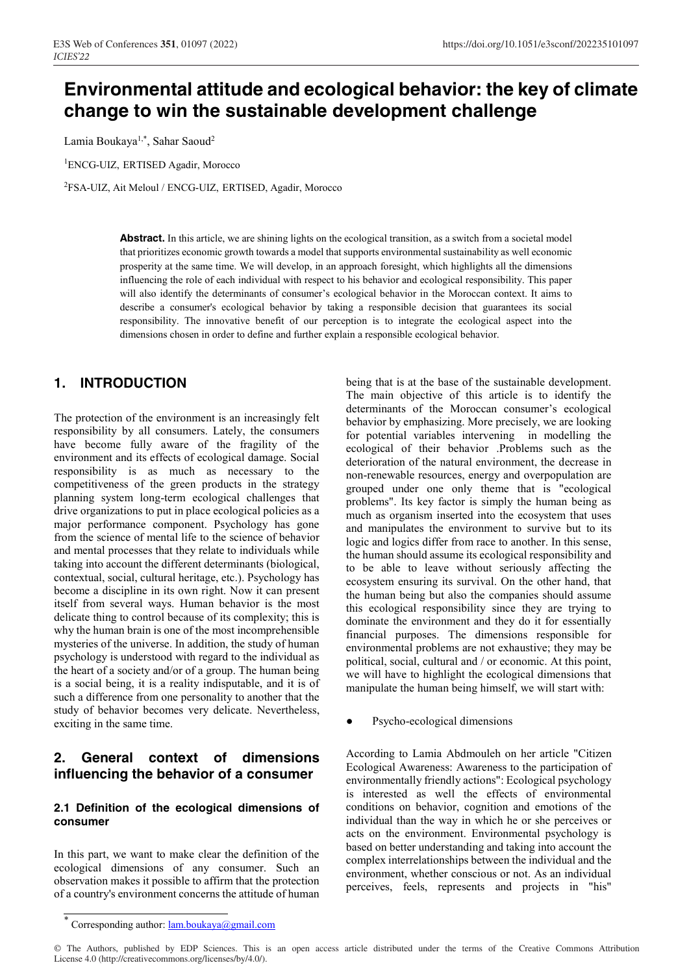# **Environmental attitude and ecological behavior: the key of climate change to win the sustainable development challenge**

Lamia Boukaya<sup>1,\*</sup>, Sahar Saoud<sup>2</sup>

1 ENCG-UIZ, ERTISED Agadir, Morocco

2 FSA-UIZ, Ait Meloul / ENCG-UIZ, ERTISED, Agadir, Morocco

Abstract. In this article, we are shining lights on the ecological transition, as a switch from a societal model that prioritizes economic growth towards a model that supports environmental sustainability as well economic prosperity at the same time. We will develop, in an approach foresight, which highlights all the dimensions influencing the role of each individual with respect to his behavior and ecological responsibility. This paper will also identify the determinants of consumer's ecological behavior in the Moroccan context. It aims to describe a consumer's ecological behavior by taking a responsible decision that guarantees its social responsibility. The innovative benefit of our perception is to integrate the ecological aspect into the dimensions chosen in order to define and further explain a responsible ecological behavior.

# **1. INTRODUCTION**

The protection of the environment is an increasingly felt responsibility by all consumers. Lately, the consumers have become fully aware of the fragility of the environment and its effects of ecological damage. Social responsibility is as much as necessary to the competitiveness of the green products in the strategy planning system long-term ecological challenges that drive organizations to put in place ecological policies as a major performance component. Psychology has gone from the science of mental life to the science of behavior and mental processes that they relate to individuals while taking into account the different determinants (biological, contextual, social, cultural heritage, etc.). Psychology has become a discipline in its own right. Now it can present itself from several ways. Human behavior is the most delicate thing to control because of its complexity; this is why the human brain is one of the most incomprehensible mysteries of the universe. In addition, the study of human psychology is understood with regard to the individual as the heart of a society and/or of a group. The human being is a social being, it is a reality indisputable, and it is of such a difference from one personality to another that the study of behavior becomes very delicate. Nevertheless, exciting in the same time.

# **2. General context of dimensions influencing the behavior of a consumer**

## **2.1 Definition of the ecological dimensions of consumer**

In this part, we want to make clear the definition of the ecological dimensions of any consumer. Such an observation makes it possible to affirm that the protection of a country's environment concerns the attitude of human being that is at the base of the sustainable development. The main objective of this article is to identify the determinants of the Moroccan consumer's ecological behavior by emphasizing. More precisely, we are looking for potential variables intervening in modelling the ecological of their behavior .Problems such as the deterioration of the natural environment, the decrease in non-renewable resources, energy and overpopulation are grouped under one only theme that is "ecological problems". Its key factor is simply the human being as much as organism inserted into the ecosystem that uses and manipulates the environment to survive but to its logic and logics differ from race to another. In this sense, the human should assume its ecological responsibility and to be able to leave without seriously affecting the ecosystem ensuring its survival. On the other hand, that the human being but also the companies should assume this ecological responsibility since they are trying to dominate the environment and they do it for essentially financial purposes. The dimensions responsible for environmental problems are not exhaustive; they may be political, social, cultural and / or economic. At this point, we will have to highlight the ecological dimensions that manipulate the human being himself, we will start with:

Psycho-ecological dimensions

According to Lamia Abdmouleh on her article "Citizen Ecological Awareness: Awareness to the participation of environmentally friendly actions": Ecological psychology is interested as well the effects of environmental conditions on behavior, cognition and emotions of the individual than the way in which he or she perceives or acts on the environment. Environmental psychology is based on better understanding and taking into account the complex interrelationships between the individual and the environment, whether conscious or not. As an individual perceives, feels, represents and projects in "his"

<sup>\*</sup> Corresponding author: lam.boukaya@gmail.com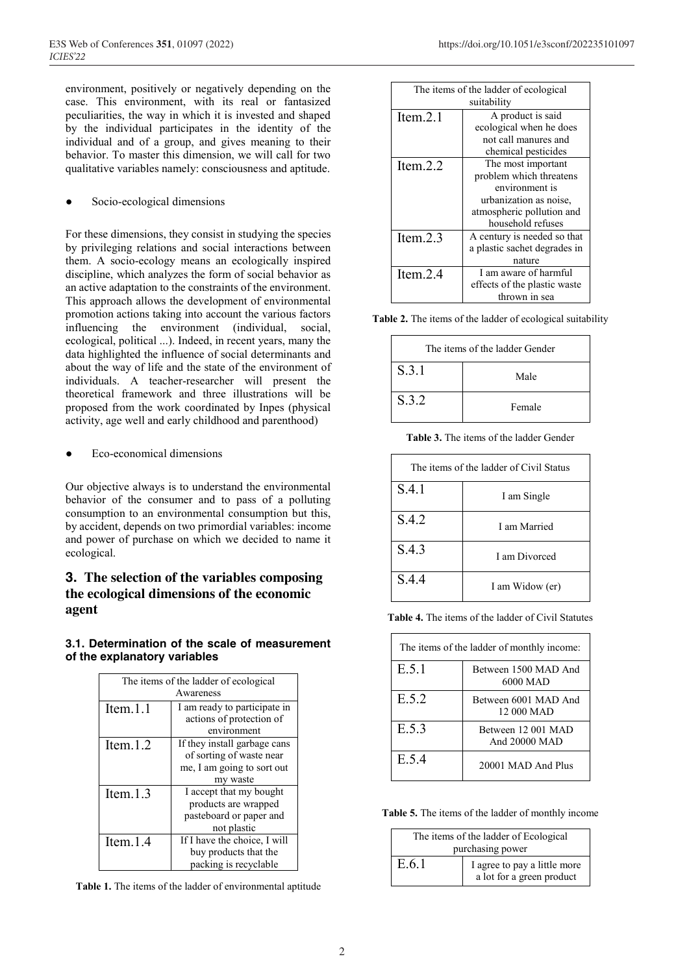environment, positively or negatively depending on the case. This environment, with its real or fantasized peculiarities, the way in which it is invested and shaped by the individual participates in the identity of the individual and of a group, and gives meaning to their behavior. To master this dimension, we will call for two qualitative variables namely: consciousness and aptitude.

#### Socio-ecological dimensions

For these dimensions, they consist in studying the species by privileging relations and social interactions between them. A socio-ecology means an ecologically inspired discipline, which analyzes the form of social behavior as an active adaptation to the constraints of the environment. This approach allows the development of environmental promotion actions taking into account the various factors influencing the environment (individual, social, ecological, political ...). Indeed, in recent years, many the data highlighted the influence of social determinants and about the way of life and the state of the environment of individuals. A teacher-researcher will present the theoretical framework and three illustrations will be proposed from the work coordinated by Inpes (physical activity, age well and early childhood and parenthood)

Eco-economical dimensions

Our objective always is to understand the environmental behavior of the consumer and to pass of a polluting consumption to an environmental consumption but this, by accident, depends on two primordial variables: income and power of purchase on which we decided to name it ecological.

## **3. The selection of the variables composing the ecological dimensions of the economic agent**

## **3.1. Determination of the scale of measurement of the explanatory variables**

| The items of the ladder of ecological |                              |  |
|---------------------------------------|------------------------------|--|
| Awareness                             |                              |  |
| Item. $1.1$                           | I am ready to participate in |  |
|                                       | actions of protection of     |  |
|                                       | environment                  |  |
| Item. $1.2$                           | If they install garbage cans |  |
|                                       | of sorting of waste near     |  |
|                                       | me, I am going to sort out   |  |
|                                       | my waste                     |  |
| Item. $1.3$                           | I accept that my bought      |  |
|                                       | products are wrapped         |  |
|                                       | pasteboard or paper and      |  |
|                                       | not plastic                  |  |
| Item. $1.4$                           | If I have the choice, I will |  |
|                                       | buy products that the        |  |
|                                       | packing is recyclable        |  |

**Table 1.** The items of the ladder of environmental aptitude

| The items of the ladder of ecological |                              |  |
|---------------------------------------|------------------------------|--|
| suitability                           |                              |  |
| Item. $2.1$                           | A product is said            |  |
|                                       | ecological when he does      |  |
|                                       | not call manures and         |  |
|                                       | chemical pesticides          |  |
| Item. $2.2$                           | The most important           |  |
|                                       | problem which threatens      |  |
|                                       | environment is               |  |
|                                       | urbanization as noise,       |  |
|                                       | atmospheric pollution and    |  |
|                                       | household refuses            |  |
| Item. $2.3$                           | A century is needed so that  |  |
|                                       | a plastic sachet degrades in |  |
|                                       | nature                       |  |
| Item. $2.4$                           | I am aware of harmful        |  |
|                                       | effects of the plastic waste |  |
|                                       | thrown in sea                |  |

**Table 2.** The items of the ladder of ecological suitability

| The items of the ladder Gender |        |
|--------------------------------|--------|
| S.3.1                          | Male   |
| S.3.2                          | Female |

**Table 3.** The items of the ladder Gender

| The items of the ladder of Civil Status |                 |  |
|-----------------------------------------|-----------------|--|
| S.4.1                                   | I am Single     |  |
| S.4.2                                   | I am Married    |  |
| S.4.3                                   | Lam Divorced    |  |
| S.4.4                                   | I am Widow (er) |  |

**Table 4.** The items of the ladder of Civil Statutes

| The items of the ladder of monthly income: |                                     |  |
|--------------------------------------------|-------------------------------------|--|
| E.5.1                                      | Between 1500 MAD And<br>6000 MAD    |  |
| E.5.2                                      | Between 6001 MAD And<br>12 000 MAD  |  |
| E.5.3                                      | Between 12 001 MAD<br>And 20000 MAD |  |
| E.5.4                                      | 20001 MAD And Plus                  |  |

**Table 5.** The items of the ladder of monthly income

| The items of the ladder of Ecological |                              |
|---------------------------------------|------------------------------|
| purchasing power                      |                              |
| E.6.1                                 | I agree to pay a little more |
|                                       | a lot for a green product    |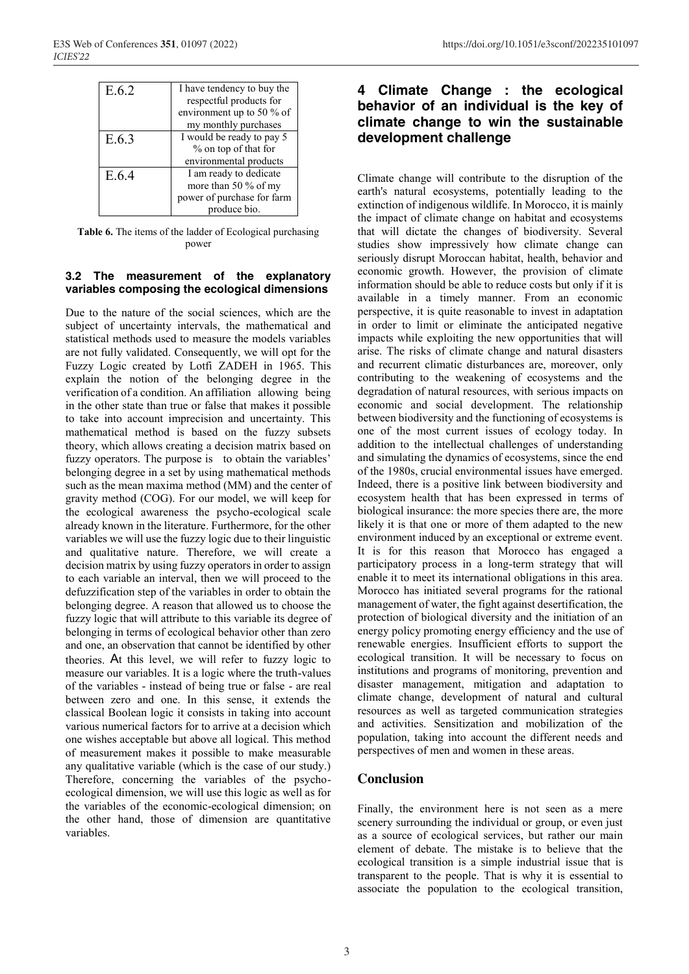| E 6 2 | I have tendency to buy the<br>respectful products for<br>environment up to 50 % of<br>my monthly purchases |
|-------|------------------------------------------------------------------------------------------------------------|
| E.6.3 | I would be ready to pay 5<br>% on top of that for<br>environmental products                                |
| E 64  | I am ready to dedicate<br>more than 50 % of my<br>power of purchase for farm<br>produce bio.               |

**Table 6.** The items of the ladder of Ecological purchasing power

#### **3.2 The measurement of the explanatory variables composing the ecological dimensions**

Due to the nature of the social sciences, which are the subject of uncertainty intervals, the mathematical and statistical methods used to measure the models variables are not fully validated. Consequently, we will opt for the Fuzzy Logic created by Lotfi ZADEH in 1965. This explain the notion of the belonging degree in the verification of a condition. An affiliation allowing being in the other state than true or false that makes it possible to take into account imprecision and uncertainty. This mathematical method is based on the fuzzy subsets theory, which allows creating a decision matrix based on fuzzy operators. The purpose is to obtain the variables' belonging degree in a set by using mathematical methods such as the mean maxima method (MM) and the center of gravity method (COG). For our model, we will keep for the ecological awareness the psycho-ecological scale already known in the literature. Furthermore, for the other variables we will use the fuzzy logic due to their linguistic and qualitative nature. Therefore, we will create a decision matrix by using fuzzy operators in order to assign to each variable an interval, then we will proceed to the defuzzification step of the variables in order to obtain the belonging degree. A reason that allowed us to choose the fuzzy logic that will attribute to this variable its degree of belonging in terms of ecological behavior other than zero and one, an observation that cannot be identified by other theories. At this level, we will refer to fuzzy logic to measure our variables. It is a logic where the truth-values of the variables - instead of being true or false - are real between zero and one. In this sense, it extends the classical Boolean logic it consists in taking into account various numerical factors for to arrive at a decision which one wishes acceptable but above all logical. This method of measurement makes it possible to make measurable any qualitative variable (which is the case of our study.) Therefore, concerning the variables of the psychoecological dimension, we will use this logic as well as for the variables of the economic-ecological dimension; on the other hand, those of dimension are quantitative variables.

# **4 Climate Change : the ecological behavior of an individual is the key of climate change to win the sustainable development challenge**

Climate change will contribute to the disruption of the earth's natural ecosystems, potentially leading to the extinction of indigenous wildlife. In Morocco, it is mainly the impact of climate change on habitat and ecosystems that will dictate the changes of biodiversity. Several studies show impressively how climate change can seriously disrupt Moroccan habitat, health, behavior and economic growth. However, the provision of climate information should be able to reduce costs but only if it is available in a timely manner. From an economic perspective, it is quite reasonable to invest in adaptation in order to limit or eliminate the anticipated negative impacts while exploiting the new opportunities that will arise. The risks of climate change and natural disasters and recurrent climatic disturbances are, moreover, only contributing to the weakening of ecosystems and the degradation of natural resources, with serious impacts on economic and social development. The relationship between biodiversity and the functioning of ecosystems is one of the most current issues of ecology today. In addition to the intellectual challenges of understanding and simulating the dynamics of ecosystems, since the end of the 1980s, crucial environmental issues have emerged. Indeed, there is a positive link between biodiversity and ecosystem health that has been expressed in terms of biological insurance: the more species there are, the more likely it is that one or more of them adapted to the new environment induced by an exceptional or extreme event. It is for this reason that Morocco has engaged a participatory process in a long-term strategy that will enable it to meet its international obligations in this area. Morocco has initiated several programs for the rational management of water, the fight against desertification, the protection of biological diversity and the initiation of an energy policy promoting energy efficiency and the use of renewable energies. Insufficient efforts to support the ecological transition. It will be necessary to focus on institutions and programs of monitoring, prevention and disaster management, mitigation and adaptation to climate change, development of natural and cultural resources as well as targeted communication strategies and activities. Sensitization and mobilization of the population, taking into account the different needs and perspectives of men and women in these areas.

#### **Conclusion**

Finally, the environment here is not seen as a mere scenery surrounding the individual or group, or even just as a source of ecological services, but rather our main element of debate. The mistake is to believe that the ecological transition is a simple industrial issue that is transparent to the people. That is why it is essential to associate the population to the ecological transition,